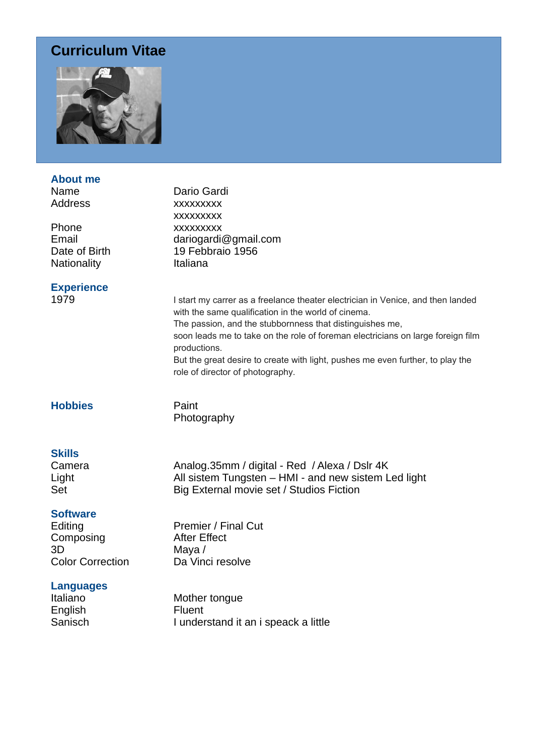## **Curriculum Vitae**



## **About me** Name Dario Gardi Address xxxxxxxxx xxxxxxxxx Phone xxxxxxxxx Email dariogardi@gmail.com<br>Date of Birth 19 Febbraio 1956  $19$  Febbraio  $1956$ Nationality **Italiana Experience** 1979 **I start my carrer as a freelance theater electrician in Venice, and then landed** with the same qualification in the world of cinema. The passion, and the stubbornness that distinguishes me, soon leads me to take on the role of foreman electricians on large foreign film productions. But the great desire to create with light, pushes me even further, to play the role of director of photography. **Hobbies** Paint Photography **Skills** Camera **Analog.35mm / digital - Red / Alexa / Dslr 4K** Light Light All sistem Tungsten – HMI - and new sistem Led light Set Big External movie set / Studios Fiction **Software** Editing **Premier / Final Cut** Composing After Effect 3D Maya / Color Correction Da Vinci resolve **Languages** Italiano Mother tongue English Fluent

Sanisch I understand it an i speack a little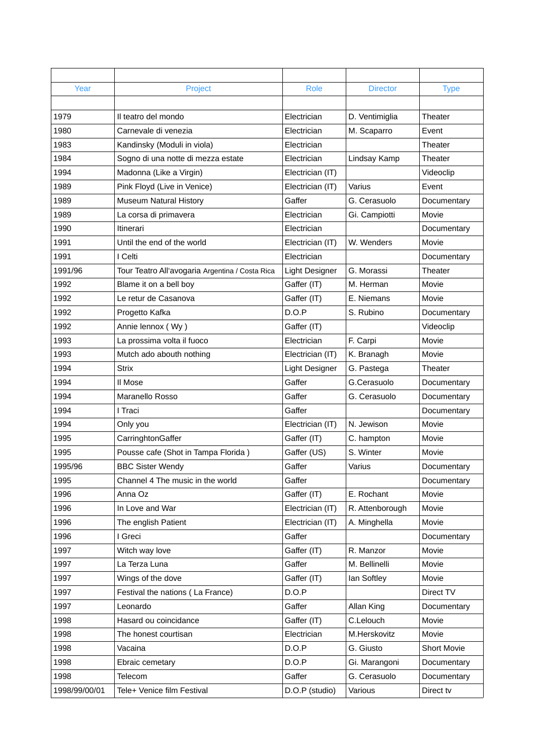| Year          | Project                                         | Role                  | <b>Director</b> | <b>Type</b> |
|---------------|-------------------------------------------------|-----------------------|-----------------|-------------|
|               |                                                 |                       |                 |             |
| 1979          | Il teatro del mondo                             | Electrician           | D. Ventimiglia  | Theater     |
| 1980          | Carnevale di venezia                            | Electrician           | M. Scaparro     | Event       |
| 1983          | Kandinsky (Moduli in viola)                     | Electrician           |                 | Theater     |
| 1984          | Sogno di una notte di mezza estate              | Electrician           | Lindsay Kamp    | Theater     |
| 1994          | Madonna (Like a Virgin)                         | Electrician (IT)      |                 | Videoclip   |
| 1989          | Pink Floyd (Live in Venice)                     | Electrician (IT)      | Varius          | Event       |
| 1989          | <b>Museum Natural History</b>                   | Gaffer                | G. Cerasuolo    | Documentary |
| 1989          | La corsa di primavera                           | Electrician           | Gi. Campiotti   | Movie       |
| 1990          | Itinerari                                       | Electrician           |                 | Documentary |
| 1991          | Until the end of the world                      | Electrician (IT)      | W. Wenders      | Movie       |
| 1991          | I Celti                                         | Electrician           |                 | Documentary |
| 1991/96       | Tour Teatro All'avogaria Argentina / Costa Rica | <b>Light Designer</b> | G. Morassi      | Theater     |
| 1992          | Blame it on a bell boy                          | Gaffer (IT)           | M. Herman       | Movie       |
| 1992          | Le retur de Casanova                            | Gaffer (IT)           | E. Niemans      | Movie       |
| 1992          | Progetto Kafka                                  | D.O.P                 | S. Rubino       | Documentary |
| 1992          | Annie lennox (Wy)                               | Gaffer (IT)           |                 | Videoclip   |
| 1993          | La prossima volta il fuoco                      | Electrician           | F. Carpi        | Movie       |
| 1993          | Mutch ado abouth nothing                        | Electrician (IT)      | K. Branagh      | Movie       |
| 1994          | <b>Strix</b>                                    | <b>Light Designer</b> | G. Pastega      | Theater     |
| 1994          | Il Mose                                         | Gaffer                | G.Cerasuolo     | Documentary |
| 1994          | Maranello Rosso                                 | Gaffer                | G. Cerasuolo    | Documentary |
| 1994          | I Traci                                         | Gaffer                |                 | Documentary |
| 1994          | Only you                                        | Electrician (IT)      | N. Jewison      | Movie       |
| 1995          | CarringhtonGaffer                               | Gaffer (IT)           | C. hampton      | Movie       |
| 1995          | Pousse cafe (Shot in Tampa Florida)             | Gaffer (US)           | S. Winter       | Movie       |
| 1995/96       | <b>BBC Sister Wendy</b>                         | Gaffer                | Varius          | Documentary |
| 1995          | Channel 4 The music in the world                | Gaffer                |                 | Documentary |
| 1996          | Anna Oz                                         | Gaffer (IT)           | E. Rochant      | Movie       |
| 1996          | In Love and War                                 | Electrician (IT)      | R. Attenborough | Movie       |
| 1996          | The english Patient                             | Electrician (IT)      | A. Minghella    | Movie       |
| 1996          | I Greci                                         | Gaffer                |                 | Documentary |
| 1997          | Witch way love                                  | Gaffer (IT)           | R. Manzor       | Movie       |
| 1997          | La Terza Luna                                   | Gaffer                | M. Bellinelli   | Movie       |
| 1997          | Wings of the dove                               | Gaffer (IT)           | lan Softley     | Movie       |
| 1997          | Festival the nations (La France)                | D.O.P                 |                 | Direct TV   |
| 1997          | Leonardo                                        | Gaffer                | Allan King      | Documentary |
| 1998          | Hasard ou coincidance                           | Gaffer (IT)           | C.Lelouch       | Movie       |
| 1998          | The honest courtisan                            | Electrician           | M.Herskovitz    | Movie       |
| 1998          | Vacaina                                         | D.O.P                 | G. Giusto       | Short Movie |
| 1998          | Ebraic cemetary                                 | D.O.P                 | Gi. Marangoni   | Documentary |
| 1998          | Telecom                                         | Gaffer                | G. Cerasuolo    | Documentary |
| 1998/99/00/01 | Tele+ Venice film Festival                      | D.O.P (studio)        | Various         | Direct tv   |